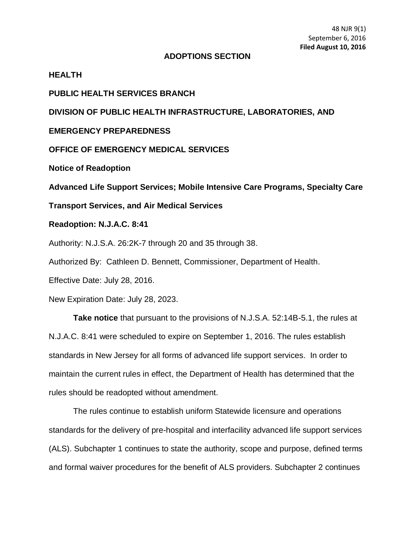### **ADOPTIONS SECTION**

### **HEALTH**

### **PUBLIC HEALTH SERVICES BRANCH**

# **DIVISION OF PUBLIC HEALTH INFRASTRUCTURE, LABORATORIES, AND**

### **EMERGENCY PREPAREDNESS**

## **OFFICE OF EMERGENCY MEDICAL SERVICES**

**Notice of Readoption**

**Advanced Life Support Services; Mobile Intensive Care Programs, Specialty Care** 

**Transport Services, and Air Medical Services**

## **Readoption: N.J.A.C. 8:41**

Authority: N.J.S.A. 26:2K-7 through 20 and 35 through 38.

Authorized By: Cathleen D. Bennett, Commissioner, Department of Health.

Effective Date: July 28, 2016.

New Expiration Date: July 28, 2023.

**Take notice** that pursuant to the provisions of N.J.S.A. 52:14B-5.1, the rules at N.J.A.C. 8:41 were scheduled to expire on September 1, 2016. The rules establish standards in New Jersey for all forms of advanced life support services. In order to maintain the current rules in effect, the Department of Health has determined that the rules should be readopted without amendment.

The rules continue to establish uniform Statewide licensure and operations standards for the delivery of pre-hospital and interfacility advanced life support services (ALS). Subchapter 1 continues to state the authority, scope and purpose, defined terms and formal waiver procedures for the benefit of ALS providers. Subchapter 2 continues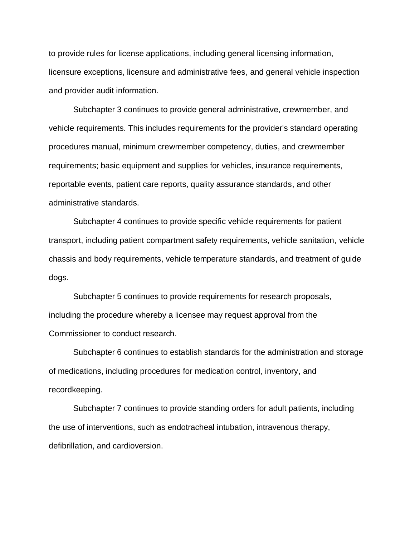to provide rules for license applications, including general licensing information, licensure exceptions, licensure and administrative fees, and general vehicle inspection and provider audit information.

Subchapter 3 continues to provide general administrative, crewmember, and vehicle requirements. This includes requirements for the provider's standard operating procedures manual, minimum crewmember competency, duties, and crewmember requirements; basic equipment and supplies for vehicles, insurance requirements, reportable events, patient care reports, quality assurance standards, and other administrative standards.

Subchapter 4 continues to provide specific vehicle requirements for patient transport, including patient compartment safety requirements, vehicle sanitation, vehicle chassis and body requirements, vehicle temperature standards, and treatment of guide dogs.

Subchapter 5 continues to provide requirements for research proposals, including the procedure whereby a licensee may request approval from the Commissioner to conduct research.

Subchapter 6 continues to establish standards for the administration and storage of medications, including procedures for medication control, inventory, and recordkeeping.

Subchapter 7 continues to provide standing orders for adult patients, including the use of interventions, such as endotracheal intubation, intravenous therapy, defibrillation, and cardioversion.